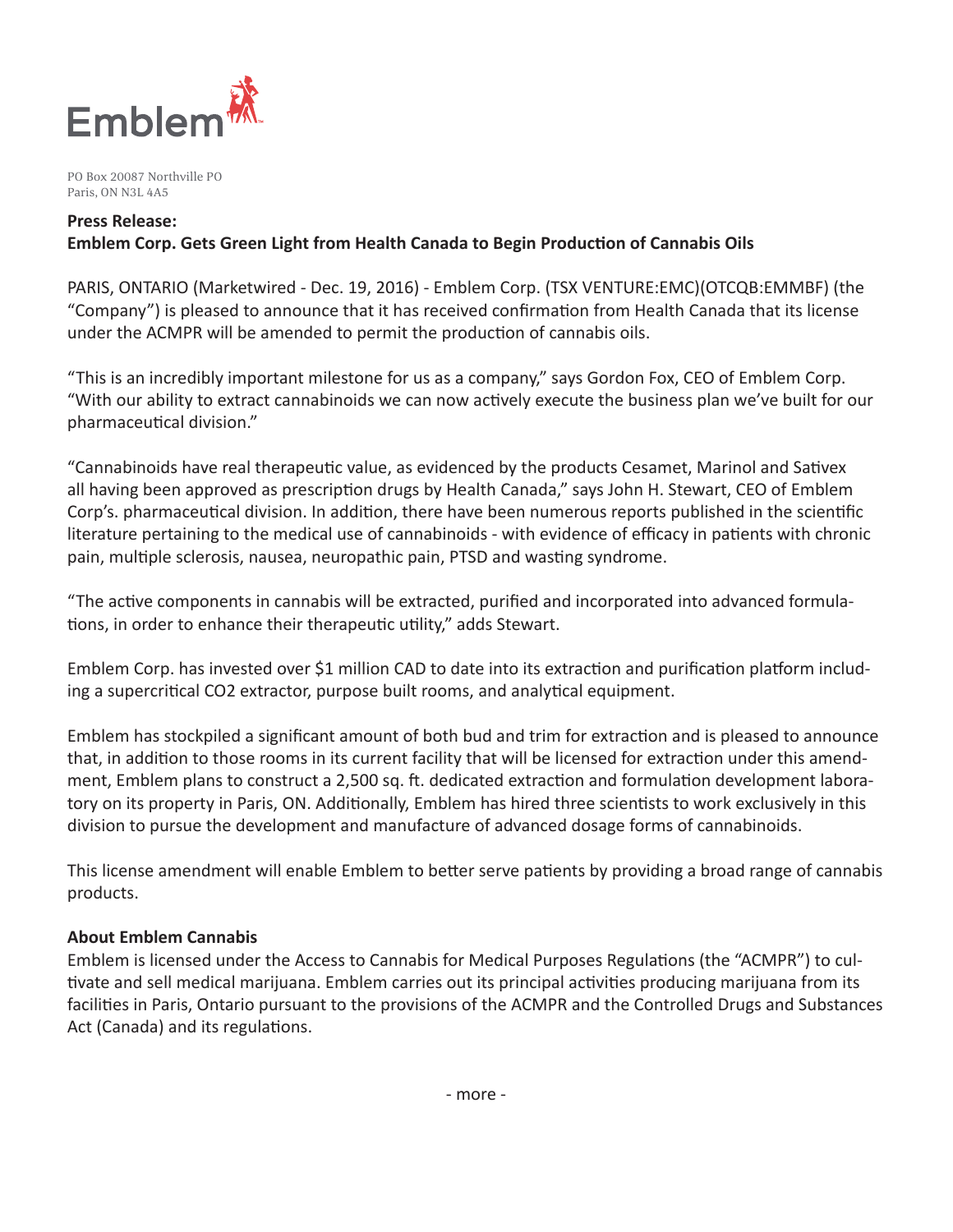

PO Box 20087 Northville PO Paris, ON N3L 4A5

#### **Press Release:**

### **Emblem Corp. Gets Green Light from Health Canada to Begin Production of Cannabis Oils**

PARIS, ONTARIO (Marketwired - Dec. 19, 2016) - Emblem Corp. (TSX VENTURE:EMC)(OTCQB:EMMBF) (the "Company") is pleased to announce that it has received confirmation from Health Canada that its license under the ACMPR will be amended to permit the production of cannabis oils.

"This is an incredibly important milestone for us as a company," says Gordon Fox, CEO of Emblem Corp. "With our ability to extract cannabinoids we can now actively execute the business plan we've built for our pharmaceutical division."

"Cannabinoids have real therapeutic value, as evidenced by the products Cesamet, Marinol and Sativex all having been approved as prescription drugs by Health Canada," says John H. Stewart, CEO of Emblem Corp's. pharmaceutical division. In addition, there have been numerous reports published in the scientific literature pertaining to the medical use of cannabinoids - with evidence of efficacy in patients with chronic pain, multiple sclerosis, nausea, neuropathic pain, PTSD and wasting syndrome.

"The active components in cannabis will be extracted, purified and incorporated into advanced formulations, in order to enhance their therapeutic utility," adds Stewart.

Emblem Corp. has invested over \$1 million CAD to date into its extraction and purification platform including a supercritical CO2 extractor, purpose built rooms, and analytical equipment.

Emblem has stockpiled a significant amount of both bud and trim for extraction and is pleased to announce that, in addition to those rooms in its current facility that will be licensed for extraction under this amendment, Emblem plans to construct a 2,500 sq. ft. dedicated extraction and formulation development laboratory on its property in Paris, ON. Additionally, Emblem has hired three scientists to work exclusively in this division to pursue the development and manufacture of advanced dosage forms of cannabinoids.

This license amendment will enable Emblem to better serve patients by providing a broad range of cannabis products.

#### **About Emblem Cannabis**

Emblem is licensed under the Access to Cannabis for Medical Purposes Regulations (the "ACMPR") to cultivate and sell medical marijuana. Emblem carries out its principal activities producing marijuana from its facilities in Paris, Ontario pursuant to the provisions of the ACMPR and the Controlled Drugs and Substances Act (Canada) and its regulations.